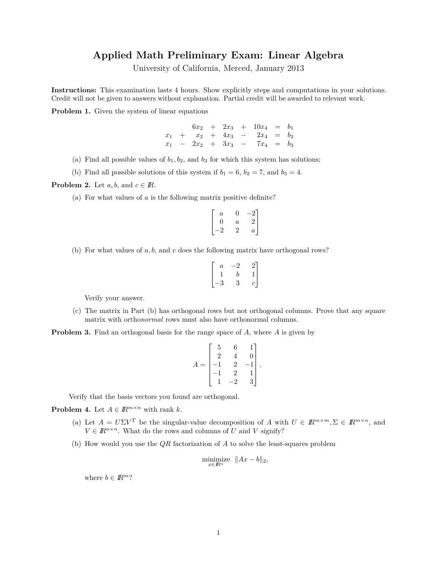## **Applied Math Preliminary Exam: Linear Algebra**

University of California, Merced, January 2013

**Instructions:** This examination lasts 4 hours. Show explicitly steps and computations in your solutions. Credit will not be given to answers without explanation. Partial credit will be awarded to relevant work.

**Problem 1.** Given the system of linear equations

 $6x_2 + 2x_3 + 10x_4 = b_1$  $x_1$  +  $x_2$  +  $4x_3$  -  $2x_4$  =  $b_2$ *x*<sup>1</sup> − 2*x*<sup>2</sup> + 3*x*<sup>3</sup> − 7*x*<sup>4</sup> = *b*<sup>3</sup>

- (a) Find all possible values of  $b_1, b_2$ , and  $b_3$  for which this system has solutions;
- (b) Find all possible solutions of this system if  $b_1 = 6$ ,  $b_2 = 7$ , and  $b_3 = 4$ .

**Problem 2.** Let  $a, b$ , and  $c \in \mathbb{R}$ .

(a) For what values of *a* is the following matrix positive definite?

$$
\begin{bmatrix} a & 0 & -2 \\ 0 & a & 2 \\ -2 & 2 & a \end{bmatrix}
$$

(b) For what values of *a, b,* and *c* does the following matrix have orthogonal rows?

$$
\begin{bmatrix} a & -2 & 2 \ 1 & b & 1 \ -3 & 3 & c \end{bmatrix}
$$

Verify your answer.

- (c) The matrix in Part (b) has orthogonal rows but not orthogonal columns. Prove that any square matrix with ortho*normal* rows must also have orthonormal columns.
- **Problem 3.** Find an orthogonal basis for the range space of A, where A is given by

$$
A = \begin{bmatrix} 5 & 6 & 1 \\ 2 & 4 & 0 \\ -1 & 2 & -1 \\ -1 & 2 & 1 \\ 1 & -2 & 3 \end{bmatrix}.
$$

Verify that the basis vectors you found are orthogonal.

**Problem 4.** Let  $A \in \mathbb{R}^{m \times n}$  with rank  $k$ .

- (a) Let  $A = U\Sigma V^T$  be the singular-value decomposition of *A* with  $U \in \mathbb{R}^{m \times m}, \Sigma \in \mathbb{R}^{m \times n}$ , and  $V \in \mathbb{R}^{n \times n}$ . What do the rows and columns of *U* and *V* signify?
- (b) How would you use the *QR* factorization of *A* to solve the least-squares problem

$$
\underset{x \in \mathbb{R}^n}{\text{minimize}} \quad \|Ax - b\|_2,
$$

where  $b \in \mathbb{R}^m$ ?